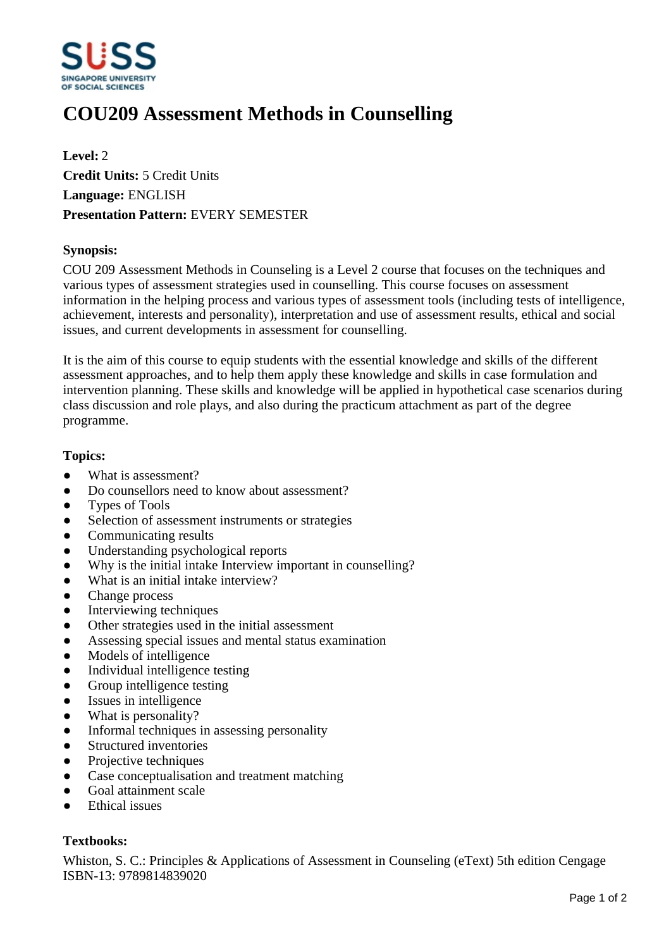

# **COU209 Assessment Methods in Counselling**

**Level:** 2 **Credit Units:** 5 Credit Units **Language:** ENGLISH **Presentation Pattern:** EVERY SEMESTER

### **Synopsis:**

COU 209 Assessment Methods in Counseling is a Level 2 course that focuses on the techniques and various types of assessment strategies used in counselling. This course focuses on assessment information in the helping process and various types of assessment tools (including tests of intelligence, achievement, interests and personality), interpretation and use of assessment results, ethical and social issues, and current developments in assessment for counselling.

It is the aim of this course to equip students with the essential knowledge and skills of the different assessment approaches, and to help them apply these knowledge and skills in case formulation and intervention planning. These skills and knowledge will be applied in hypothetical case scenarios during class discussion and role plays, and also during the practicum attachment as part of the degree programme.

#### **Topics:**

- What is assessment?
- Do counsellors need to know about assessment?
- Types of Tools
- Selection of assessment instruments or strategies
- Communicating results
- Understanding psychological reports
- Why is the initial intake Interview important in counselling?
- What is an initial intake interview?
- Change process
- Interviewing techniques
- Other strategies used in the initial assessment
- Assessing special issues and mental status examination
- Models of intelligence
- Individual intelligence testing
- Group intelligence testing
- Issues in intelligence
- What is personality?
- Informal techniques in assessing personality
- Structured inventories
- Projective techniques
- Case conceptualisation and treatment matching
- Goal attainment scale
- ƔEthical issues

## **Textbooks:**

Whiston, S. C.: Principles & Applications of Assessment in Counseling (eText) 5th edition Cengage ISBN-13: 9789814839020